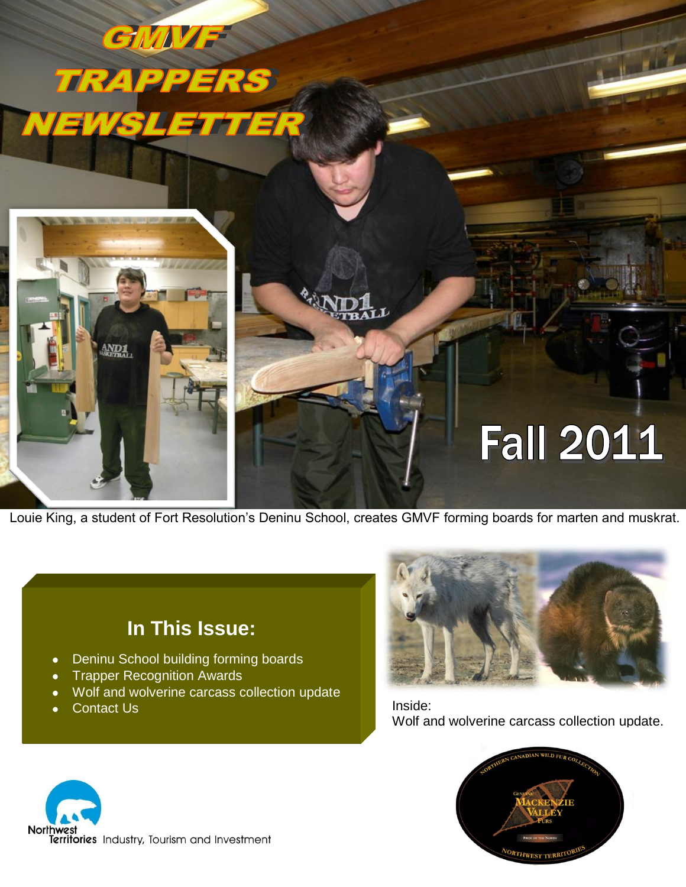

Louie King, a student of Fort Resolution's Deninu School, creates GMVF forming boards for marten and muskrat.

## **In This Issue:**

- Deninu School building forming boards  $\bullet$
- Trapper Recognition Awards
- Wolf and wolverine carcass collection update  $\bullet$
- Contact Us



Inside: Wolf and wolverine carcass collection update.



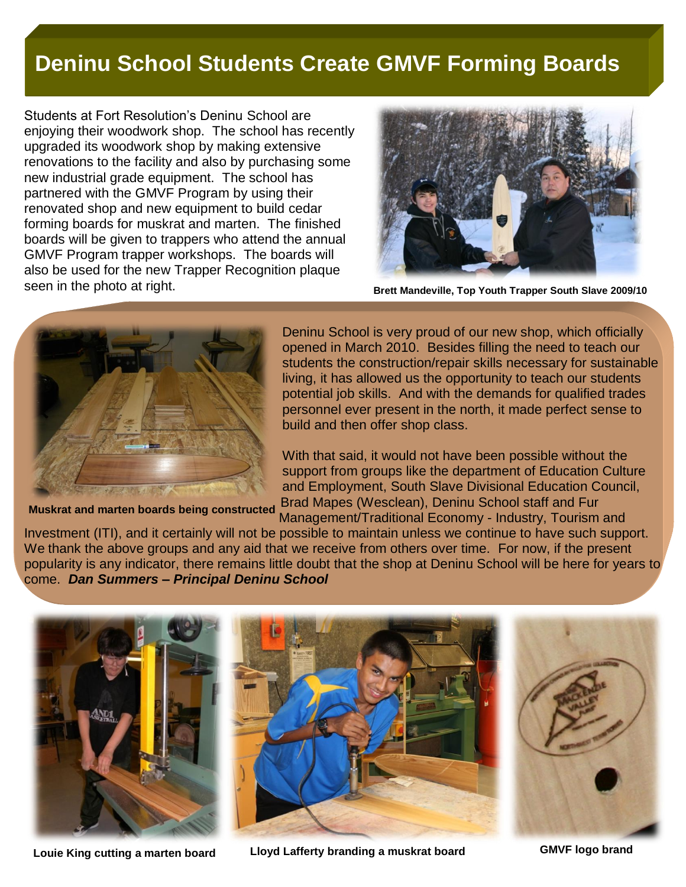## **Deninu School Students Create GMVF Forming Boards**

Students at Fort Resolution's Deninu School are enjoying their woodwork shop. The school has recently upgraded its woodwork shop by making extensive renovations to the facility and also by purchasing some new industrial grade equipment. The school has partnered with the GMVF Program by using their renovated shop and new equipment to build cedar forming boards for muskrat and marten. The finished boards will be given to trappers who attend the annual GMVF Program trapper workshops. The boards will also be used for the new Trapper Recognition plaque seen in the photo at right.



**Brett Mandeville, Top Youth Trapper South Slave 2009/10**



**Muskrat and marten boards being constructed**

Deninu School is very proud of our new shop, which officially opened in March 2010. Besides filling the need to teach our students the construction/repair skills necessary for sustainable living, it has allowed us the opportunity to teach our students potential job skills. And with the demands for qualified trades personnel ever present in the north, it made perfect sense to build and then offer shop class.

With that said, it would not have been possible without the support from groups like the department of Education Culture and Employment, South Slave Divisional Education Council, Brad Mapes (Wesclean), Deninu School staff and Fur Management/Traditional Economy - Industry, Tourism and

Investment (ITI), and it certainly will not be possible to maintain unless we continue to have such support. We thank the above groups and any aid that we receive from others over time. For now, if the present popularity is any indicator, there remains little doubt that the shop at Deninu School will be here for years to come. *Dan Summers – Principal Deninu School*



**Louie King cutting a marten board Lloyd Lafferty branding a muskrat board GMVF logo brand**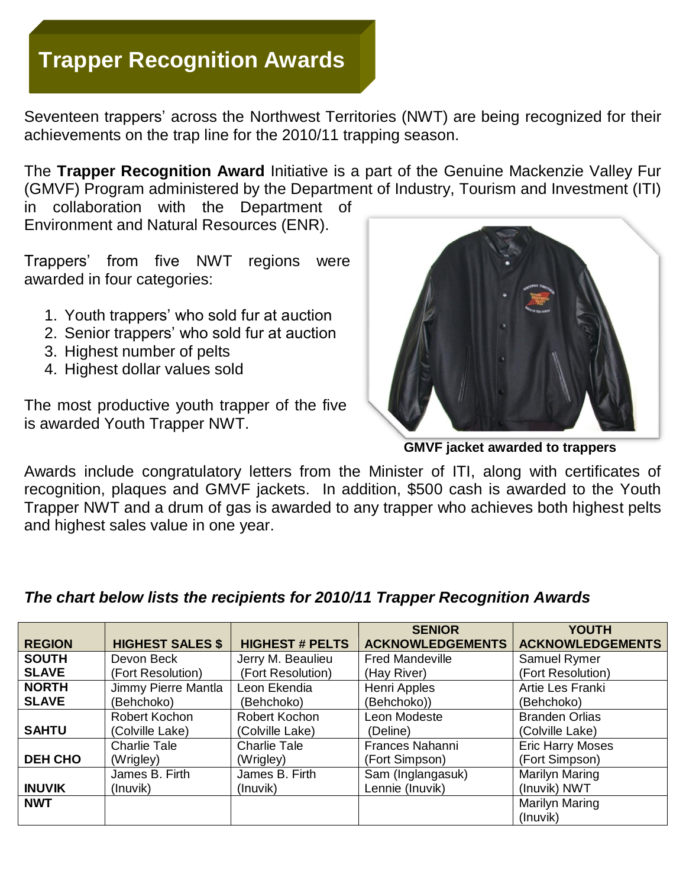# **Trapper Recognition Awards**

Seventeen trappers' across the Northwest Territories (NWT) are being recognized for their achievements on the trap line for the 2010/11 trapping season.

The **Trapper Recognition Award** Initiative is a part of the Genuine Mackenzie Valley Fur (GMVF) Program administered by the Department of Industry, Tourism and Investment (ITI)

in collaboration with the Department of Environment and Natural Resources (ENR).

Trappers' from five NWT regions were awarded in four categories:

- 1. Youth trappers' who sold fur at auction
- 2. Senior trappers' who sold fur at auction
- 3. Highest number of pelts
- 4. Highest dollar values sold

The most productive youth trapper of the five is awarded Youth Trapper NWT.



 **GMVF jacket awarded to trappers** 

Awards include congratulatory letters from the Minister of ITI, along with certificates of recognition, plaques and GMVF jackets. In addition, \$500 cash is awarded to the Youth Trapper NWT and a drum of gas is awarded to any trapper who achieves both highest pelts and highest sales value in one year.

|                |                         |                        | <b>SENIOR</b>           | <b>YOUTH</b>            |
|----------------|-------------------------|------------------------|-------------------------|-------------------------|
| <b>REGION</b>  | <b>HIGHEST SALES \$</b> | <b>HIGHEST # PELTS</b> | <b>ACKNOWLEDGEMENTS</b> | <b>ACKNOWLEDGEMENTS</b> |
| <b>SOUTH</b>   | Devon Beck              | Jerry M. Beaulieu      | <b>Fred Mandeville</b>  | Samuel Rymer            |
| <b>SLAVE</b>   | (Fort Resolution)       | (Fort Resolution)      | (Hay River)             | (Fort Resolution)       |
| <b>NORTH</b>   | Jimmy Pierre Mantla     | Leon Ekendia           | Henri Apples            | Artie Les Franki        |
| <b>SLAVE</b>   | (Behchoko)              | (Behchoko)             | (Behchoko))             | (Behchoko)              |
|                | Robert Kochon           | Robert Kochon          | Leon Modeste            | <b>Branden Orlias</b>   |
| <b>SAHTU</b>   | (Colville Lake)         | (Colville Lake)        | (Deline)                | (Colville Lake)         |
|                | <b>Charlie Tale</b>     | <b>Charlie Tale</b>    | <b>Frances Nahanni</b>  | <b>Eric Harry Moses</b> |
| <b>DEH CHO</b> | (Wrigley)               | (Wrigley)              | (Fort Simpson)          | (Fort Simpson)          |
|                | James B. Firth          | James B. Firth         | Sam (Inglangasuk)       | <b>Marilyn Maring</b>   |
| <b>INUVIK</b>  | (Inuvik)                | (Inuvik)               | Lennie (Inuvik)         | (Inuvik) NWT            |
| <b>NWT</b>     |                         |                        |                         | <b>Marilyn Maring</b>   |
|                |                         |                        |                         | (Inuvik)                |

### *The chart below lists the recipients for 2010/11 Trapper Recognition Awards*